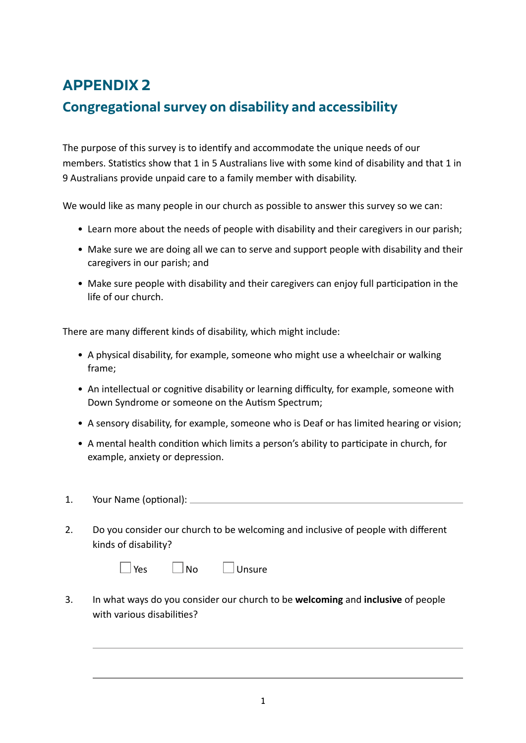# **APPENDIX 2**

## **Congregational survey on disability and accessibility**

The purpose of this survey is to identify and accommodate the unique needs of our members. Statistics show that 1 in 5 Australians live with some kind of disability and that 1 in 9 Australians provide unpaid care to a family member with disability.

We would like as many people in our church as possible to answer this survey so we can:

- Learn more about the needs of people with disability and their caregivers in our parish;
- Make sure we are doing all we can to serve and support people with disability and their caregivers in our parish; and
- Make sure people with disability and their caregivers can enjoy full participation in the life of our church.

There are many different kinds of disability, which might include:

- A physical disability, for example, someone who might use a wheelchair or walking frame;
- An intellectual or cognitive disability or learning difficulty, for example, someone with Down Syndrome or someone on the Autism Spectrum;
- A sensory disability, for example, someone who is Deaf or has limited hearing or vision;
- A mental health condition which limits a person's ability to participate in church, for example, anxiety or depression.
- 1. Your Name (optional):
- 2. Do you consider our church to be welcoming and inclusive of people with different kinds of disability?

| l Yes | l No | 」 Unsure |
|-------|------|----------|
|       |      |          |

3. In what ways do you consider our church to be **welcoming** and **inclusive** of people with various disabilities?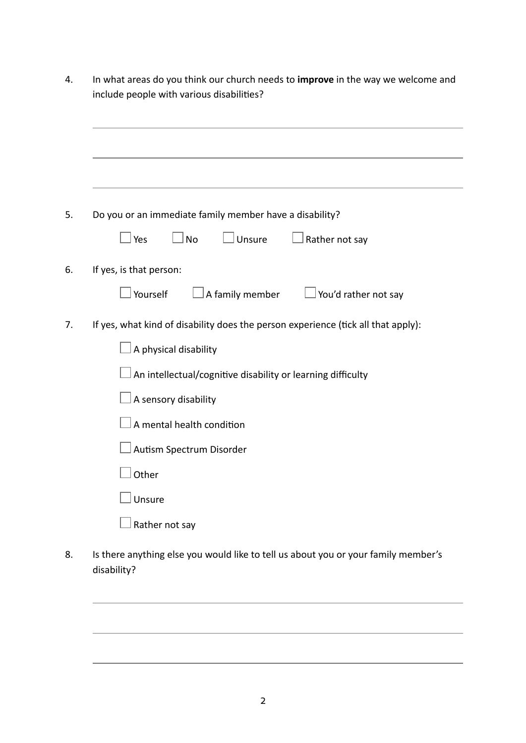| In what areas do you think our church needs to improve in the way we welcome and<br>include people with various disabilities? |  |  |  |  |  |  |
|-------------------------------------------------------------------------------------------------------------------------------|--|--|--|--|--|--|
|                                                                                                                               |  |  |  |  |  |  |
|                                                                                                                               |  |  |  |  |  |  |
| Do you or an immediate family member have a disability?                                                                       |  |  |  |  |  |  |
| $\Box$ No<br>」Unsure<br>Rather not say<br>Yes                                                                                 |  |  |  |  |  |  |
| If yes, is that person:                                                                                                       |  |  |  |  |  |  |
| Yourself<br>A family member<br>J You'd rather not say                                                                         |  |  |  |  |  |  |
| If yes, what kind of disability does the person experience (tick all that apply):                                             |  |  |  |  |  |  |
| A physical disability                                                                                                         |  |  |  |  |  |  |
| An intellectual/cognitive disability or learning difficulty                                                                   |  |  |  |  |  |  |
| A sensory disability                                                                                                          |  |  |  |  |  |  |
| A mental health condition                                                                                                     |  |  |  |  |  |  |
| Autism Spectrum Disorder                                                                                                      |  |  |  |  |  |  |
| ┌──┐<br>Other                                                                                                                 |  |  |  |  |  |  |
| Unsure                                                                                                                        |  |  |  |  |  |  |
| Rather not say                                                                                                                |  |  |  |  |  |  |
| Is there anything else you would like to tell us about you or your family member's<br>disability?                             |  |  |  |  |  |  |

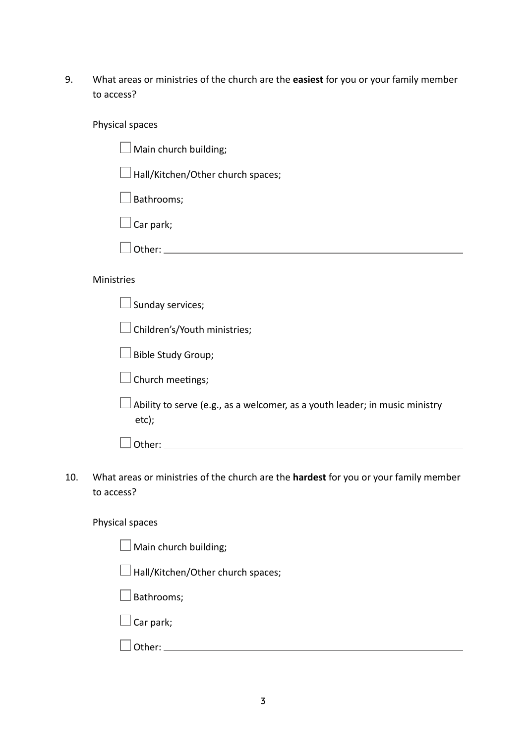9. What areas or ministries of the church are the **easiest** for you or your family member to access?

#### Physical spaces

| $\square$ Main church building; |  |
|---------------------------------|--|
|---------------------------------|--|

 $\Box$  Hall/Kitchen/Other church spaces;

 $\square$  Bathrooms;

Car park;

Other:

#### Ministries

 $\Box$  Sunday services;

 $\Box$  Children's/Youth ministries;

 $\Box$  Bible Study Group;

 $\Box$  Church meetings;

 $\Box$  Ability to serve (e.g., as a welcomer, as a youth leader; in music ministry etc);

Other: and the contract of the contract of the contract of the contract of the contract of the contract of the contract of the contract of the contract of the contract of the contract of the contract of the contract of the

10. What areas or ministries of the church are the **hardest** for you or your family member to access?

### Physical spaces

| $\Box$ Main church building;             |
|------------------------------------------|
| $\Box$ Hall/Kitchen/Other church spaces; |
| $\Box$ Bathrooms;                        |
| $\Box$ Car park;                         |
| uther:                                   |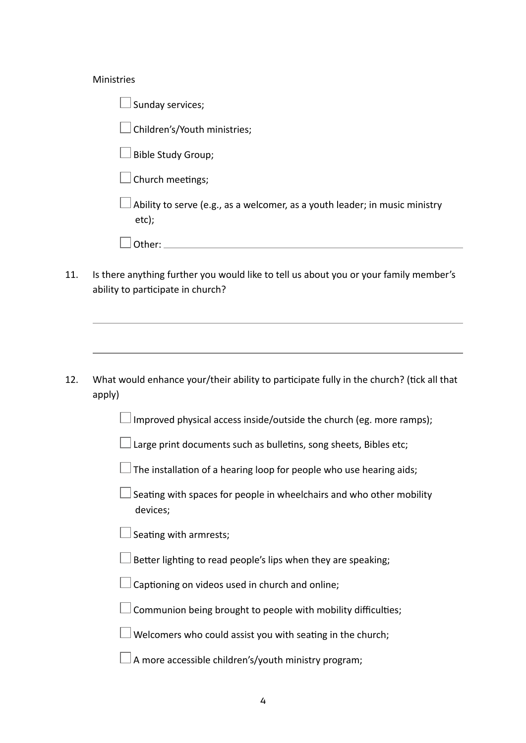#### Ministries

 $\Box$  Sunday services;

Children's/Youth ministries;

 $\Box$  Bible Study Group;

 $\Box$  Church meetings;

 Ability to serve (e.g., as a welcomer, as a youth leader; in music ministry etc);

| $\sim$ $\sim$ $\sim$<br>. . |  |  |  |  |
|-----------------------------|--|--|--|--|
|                             |  |  |  |  |

11. Is there anything further you would like to tell us about you or your family member's ability to participate in church?

12. What would enhance your/their ability to participate fully in the church? (tick all that apply)

Improved physical access inside/outside the church (eg. more ramps);

Large print documents such as bulletins, song sheets, Bibles etc;

 $\Box$  The installation of a hearing loop for people who use hearing aids;

 Seating with spaces for people in wheelchairs and who other mobility devices;

Seating with armrests;

Better lighting to read people's lips when they are speaking;

Captioning on videos used in church and online;

Communion being brought to people with mobility difficulties;

 $\Box$  Welcomers who could assist you with seating in the church;

 $\Box$  A more accessible children's/youth ministry program;